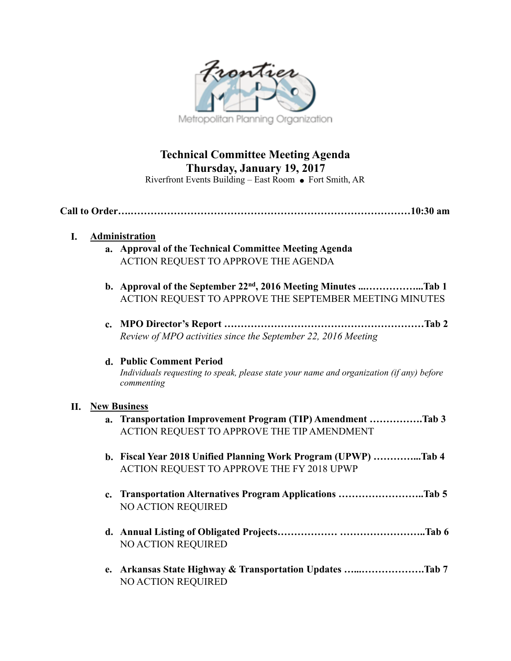

# **Technical Committee Meeting Agenda Thursday, January 19, 2017**

Riverfront Events Building – East Room  $\bullet$  Fort Smith, AR

# **Call to Order….…………………………………………………………………………10:30 am**

# **I. Administration**

- **a. Approval of the Technical Committee Meeting Agenda**  ACTION REQUEST TO APPROVE THE AGENDA
- **b. Approval of the September 22nd, 2016 Meeting Minutes ...……………...Tab 1**  ACTION REQUEST TO APPROVE THE SEPTEMBER MEETING MINUTES
- **c. MPO Director's Report ……………………………………………………Tab 2**  *Review of MPO activities since the September 22, 2016 Meeting*

#### **d. Public Comment Period**  *Individuals requesting to speak, please state your name and organization (if any) before commenting*

# **II. New Business**

- **a. Transportation Improvement Program (TIP) Amendment …………….Tab 3**  ACTION REQUEST TO APPROVE THE TIP AMENDMENT
- **b. Fiscal Year 2018 Unified Planning Work Program (UPWP) …………...Tab 4**  ACTION REQUEST TO APPROVE THE FY 2018 UPWP
- **c. Transportation Alternatives Program Applications ……………………..Tab 5**  NO ACTION REQUIRED
- **d. Annual Listing of Obligated Projects……………… ……………………..Tab 6**  NO ACTION REQUIRED
- **e. Arkansas State Highway & Transportation Updates …...……………….Tab 7**  NO ACTION REQUIRED